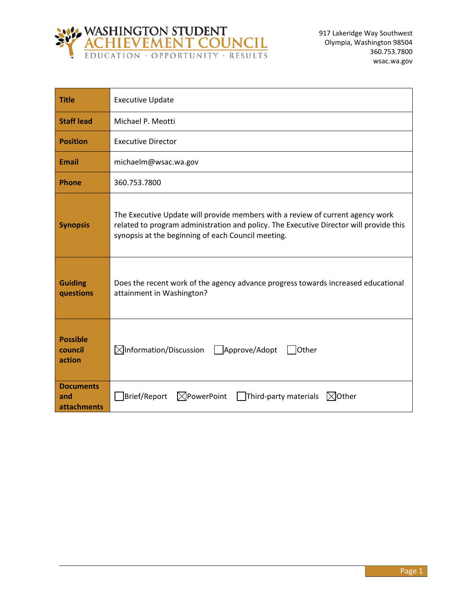

| <b>Title</b>                           | <b>Executive Update</b>                                                                                                                                                                                                        |
|----------------------------------------|--------------------------------------------------------------------------------------------------------------------------------------------------------------------------------------------------------------------------------|
| <b>Staff lead</b>                      | Michael P. Meotti                                                                                                                                                                                                              |
| <b>Position</b>                        | <b>Executive Director</b>                                                                                                                                                                                                      |
| <b>Email</b>                           | michaelm@wsac.wa.gov                                                                                                                                                                                                           |
| <b>Phone</b>                           | 360.753.7800                                                                                                                                                                                                                   |
| <b>Synopsis</b>                        | The Executive Update will provide members with a review of current agency work<br>related to program administration and policy. The Executive Director will provide this<br>synopsis at the beginning of each Council meeting. |
| <b>Guiding</b><br>questions            | Does the recent work of the agency advance progress towards increased educational<br>attainment in Washington?                                                                                                                 |
| <b>Possible</b><br>council<br>action   | $\boxtimes$ Information/Discussion<br>Approve/Adopt<br>Other                                                                                                                                                                   |
| <b>Documents</b><br>and<br>attachments | $\boxtimes$ PowerPoint<br>Brief/Report<br>Third-party materials<br>$\bowtie$ Other                                                                                                                                             |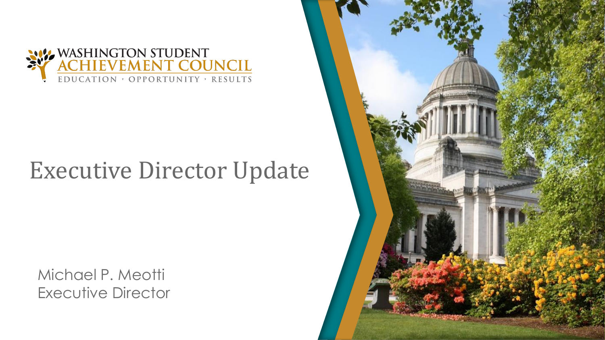

# Executive Director Update

Michael P. Meotti Executive Director

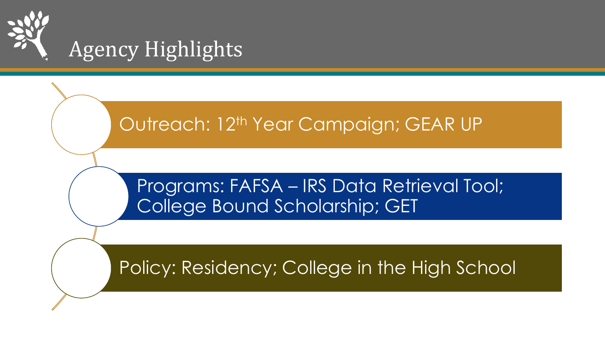

### Outreach: 12<sup>th</sup> Year Campaign; GEAR UP

#### Programs: FAFSA – IRS Data Retrieval Tool; College Bound Scholarship; GET

## Policy: Residency; College in the High School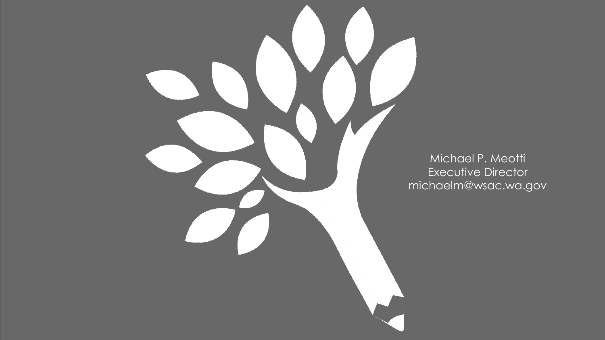

Michael P. Meotti Executive Director michaelm@wsac.wa.gov